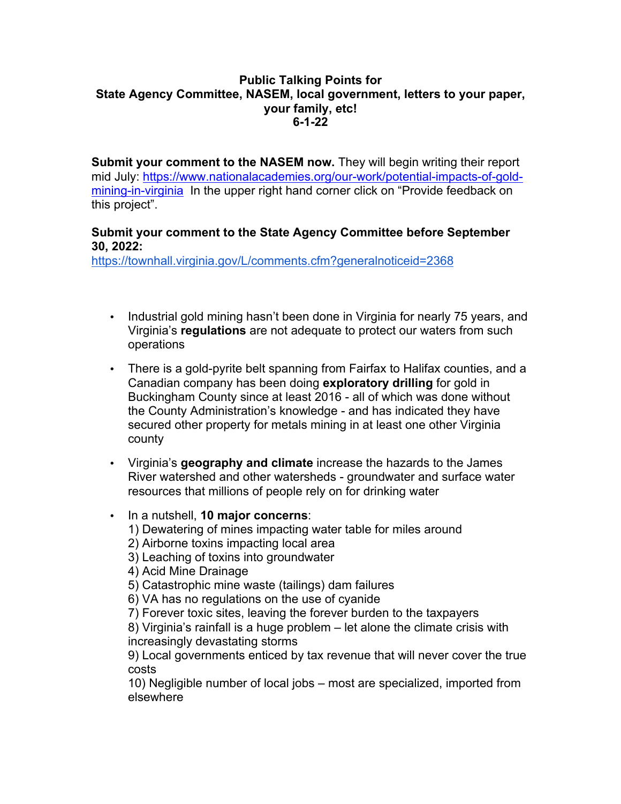## **Public Talking Points for State Agency Committee, NASEM, local government, letters to your paper, your family, etc! 6-1-22**

**Submit your comment to the NASEM now.** They will begin writing their report mid July: https://www.nationalacademies.org/our-work/potential-impacts-of-goldmining-in-virginia In the upper right hand corner click on "Provide feedback on this project".

## **Submit your comment to the State Agency Committee before September 30, 2022:**

https://townhall.virginia.gov/L/comments.cfm?generalnoticeid=2368

- Industrial gold mining hasn't been done in Virginia for nearly 75 years, and Virginia's **regulations** are not adequate to protect our waters from such operations
- There is a gold-pyrite belt spanning from Fairfax to Halifax counties, and a Canadian company has been doing **exploratory drilling** for gold in Buckingham County since at least 2016 - all of which was done without the County Administration's knowledge - and has indicated they have secured other property for metals mining in at least one other Virginia county
- Virginia's **geography and climate** increase the hazards to the James River watershed and other watersheds - groundwater and surface water resources that millions of people rely on for drinking water
- In a nutshell, **10 major concerns**:
	- 1) Dewatering of mines impacting water table for miles around
	- 2) Airborne toxins impacting local area
	- 3) Leaching of toxins into groundwater
	- 4) Acid Mine Drainage
	- 5) Catastrophic mine waste (tailings) dam failures
	- 6) VA has no regulations on the use of cyanide
	- 7) Forever toxic sites, leaving the forever burden to the taxpayers

8) Virginia's rainfall is a huge problem – let alone the climate crisis with increasingly devastating storms

9) Local governments enticed by tax revenue that will never cover the true costs

10) Negligible number of local jobs – most are specialized, imported from elsewhere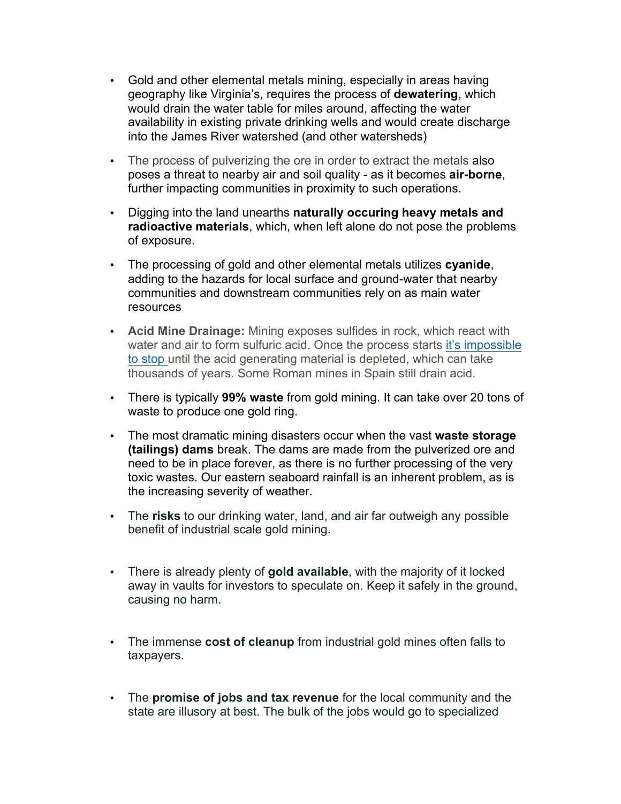- Gold and other elemental metals mining, especially in areas having geography like Virginia's, requires the process of **dewatering**, which would drain the water table for miles around, affecting the water availability in existing private drinking wells and would create discharge into the James River watershed (and other watersheds)
- The process of pulverizing the ore in order to extract the metals also poses a threat to nearby air and soil quality - as it becomes **air-borne**, further impacting communities in proximity to such operations.
- Digging into the land unearths **naturally occuring heavy metals and radioactive materials**, which, when left alone do not pose the problems of exposure.
- The processing of gold and other elemental metals utilizes **cyanide**, adding to the hazards for local surface and ground-water that nearby communities and downstream communities rely on as main water resources
- **Acid Mine Drainage:** Mining exposes sulfides in rock, which react with water and air to form sulfuric acid. Once the process starts it's impossible to stop until the acid generating material is depleted, which can take thousands of years. Some Roman mines in Spain still drain acid.
- There is typically **99% waste** from gold mining. It can take over 20 tons of waste to produce one gold ring.
- The most dramatic mining disasters occur when the vast **waste storage (tailings) dams** break. The dams are made from the pulverized ore and need to be in place forever, as there is no further processing of the very toxic wastes. Our eastern seaboard rainfall is an inherent problem, as is the increasing severity of weather.
- The **risks** to our drinking water, land, and air far outweigh any possible benefit of industrial scale gold mining.
- There is already plenty of **gold available**, with the majority of it locked away in vaults for investors to speculate on. Keep it safely in the ground, causing no harm.
- The immense **cost of cleanup** from industrial gold mines often falls to taxpayers.
- The **promise of jobs and tax revenue** for the local community and the state are illusory at best. The bulk of the jobs would go to specialized